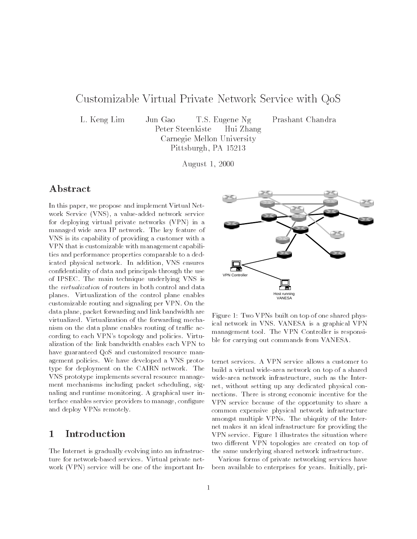# Customizable Virtual Private Network Service with QoS

L. Keng Lim Jun Gao T.S. Eugene Ng Prashant Chandra Peter Steenkiste Hui Zhang Carnegie Mellon University Pittsburgh, PA 15213

August 1, 2000

# Abstract

In this paper, we propose and implement Virtual Net work Service (VNS), a value-added network service for deploying virtual private networks (VPN) in a managed wide area IP network. The key feature of VNS is its capability of providing a customer with a VPN that is customizable with management capabilities and performance properties comparable to a dedicated physical network. In addition, VNS ensures condentiality of data and principals through the use of IPSEC. The main technique underlying VNS is the virtualization of routers in both control and data planes. Virtualization of the control plane enables customizable routing and signaling per VPN. On the data plane, packet forwarding and link bandwidth are virtualized. Virtualization of the forwarding mechanism on the data plane enables routing of traffic according to each VPN's topology and policies. Virtualization of the link bandwidth enables each VPN to have guaranteed QoS and customized resource management policies. We have developed a VNS prototype for deployment on the CAIRN network. The VNS prototype implements several resource manage ment mechanisms including packet scheduling, signaling and runtime monitoring. A graphical user interface enables service providers to manage, configure and deploy VPNs remotely.

# 1 Introduction

The Internet is gradually evolving into an infrastructure for network-based services. Virtual private net work (VPN) service will be one of the important In-



Figure 1: Two VPNs built on top of one shared physical network in VNS. VANESA is a graphical VPN management tool. The VPN Controller is responsible for carrying out commands from VANESA.

ternet services. A VPN service allows a customer to build a virtual wide-area network on top of a shared wide-area network infrastructure, such as the Internet, without setting up any dedicated physical connections. There is strong economic incentive for the VPN service because of the opportunity to share a common expensive physical network infrastructure amongst multiple VPNs. The ubiquity of the Internet makes it an ideal infrastructure for providing the VPN service. Figure 1 illustrates the situation where two different VPN topologies are created on top of the same underlying shared network infrastructure.

Various forms of private networking services have been available to enterprises for years. Initially, pri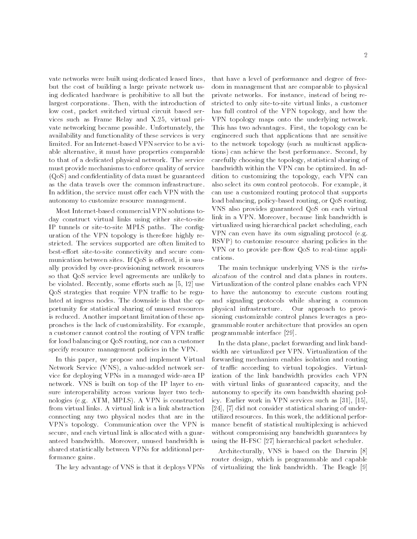vate networks were built using dedicated leased lines, but the cost of building a large private network using dedicated hardware is prohibitive to all but the largest corporations. Then, with the introduction of low cost, packet switched virtual circuit based services such as Frame Relay and X.25, virtual private networking became possible. Unfortunately, the availability and functionality of these services is very limited. For an Internet-based VPN service to be a viable alternative, it must have properties comparable to that of a dedicated physical network. The service must provide mechanisms to enforce quality of service (QoS) and condentiality of data must be guaranteed as the data travels over the common infrastructure. In addition, the service must offer each VPN with the autonomy to customize resource management.

Most Internet-based commercial VPN solutions today construct virtual links using either site-to-site IP tunnels or site-to-site MPLS paths. The conguration of the VPN topology is therefore highly restricted. The services supported are often limited to best-effort site-to-site connectivity and secure communication between sites. If QoS is offered, it is usually provided by over-provisioning network resources so that QoS service level agreements are unlikely to be violated. Recently, some efforts such as  $[5, 12]$  use QoS strategies that require VPN traffic to be regulated at ingress nodes. The downside is that the opportunity for statistical sharing of unused resources is reduced. Another important limitation of these approaches is the lack of customizability. For example, a customer cannot control the routing of VPN traffic for load balancing or QoS routing, nor can a customer specify resource management policies in the VPN.

In this paper, we propose and implement Virtual Network Service (VNS), a value-added network service for deploying VPNs in a managed wide-area IP network. VNS is built on top of the IP layer to ensure interoperability across various layer two technologies (e.g. ATM, MPLS). A VPN is constructed from virtual links. A virtual link is a link abstraction connecting any two physical nodes that are in the VPN's topology. Communication over the VPN is secure, and each virtual link is allocated with a guaranteed bandwidth. Moreover, unused bandwidth is shared statistically between VPNs for additional performance gains.

The key advantage of VNS is that it deploys VPNs

that have a level of performance and degree of freedom in management that are comparable to physical private networks. For instance, instead of being restricted to only site-to-site virtual links, a customer has full control of the VPN topology, and how the VPN topology maps onto the underlying network. This has two advantages. First, the topology can be engineered such that applications that are sensitive to the network topology (such as multicast applications) can achieve the best performance. Second, by carefully choosing the topology, statistical sharing of bandwidth within the VPN can be optimized. In addition to customizing the topology, each VPN can also select its own control protocols. For example, it can use a customized routing protocol that supports load balancing, policy-based routing, or QoS routing. VNS also provides guaranteed QoS on each virtual link in a VPN. Moreover, because link bandwidth is virtualized using hierarchical packet scheduling, each VPN can even have its own signaling protocol (e.g. RSVP) to customize resource sharing policies in the VPN or to provide per-flow QoS to real-time applications.

The main technique underlying VNS is the *virtu*alization of the control and data planes in routers. Virtualization of the control plane enables each VPN to have the autonomy to execute custom routing and signaling protocols while sharing a common Our approach to provisioning customizable control planes leverages a programmable router architecture that provides an open programmable interface [29].

In the data plane, packet forwarding and link bandwidth are virtualized per VPN. Virtualization of the forwarding mechanism enables isolation and routing of traffic according to virtual topologies. Virtualization of the link bandwidth provides each VPN with virtual links of guaranteed capacity, and the autonomy to specify its own bandwidth sharing policy. Earlier work in VPN services such as [31], [15], [24], [7] did not consider statistical sharing of underutilized resources. In this work, the additional performance benefit of statistical multiplexing is achieved without compromising any bandwidth guarantees by using the H-FSC [27] hierarchical packet scheduler.

Architecturally, VNS is based on the Darwin [8] router design, which is programmable and capable of virtualizing the link bandwidth. The Beagle [9]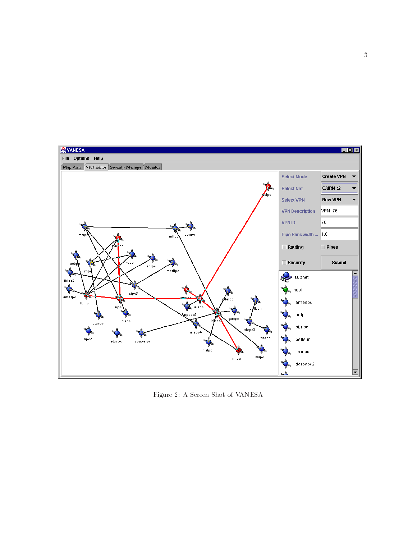

Figure 2: A Screen-Shot of VANESA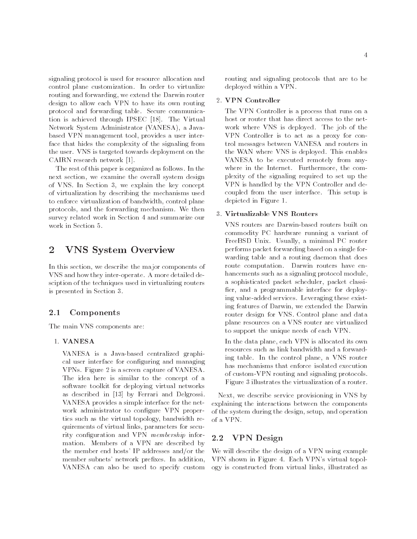signaling protocol is used for resource allocation and control plane customization. In order to virtualize routing and forwarding, we extend the Darwin router design to allow each VPN to have its own routing protocol and forwarding table. Secure communication is achieved through IPSEC [18]. The Virtual Network System Administrator (VANESA), a Javabased VPN management tool, provides a user interface that hides the complexity of the signaling from the user. VNS is targeted towards deployment on the CAIRN research network [1].

The rest of this paper is organized as follows. In the next section, we examine the overall system design of VNS. In Section 3, we explain the key concept of virtualization by describing the mechanisms used to enforce virtualization of bandwidth, control plane protocols, and the forwarding mechanism. We then survey related work in Section 4 and summarize our work in Section 5.

#### $\overline{2}$ 2 VNS System Overview

In this section, we describe the major components of VNS and how they inter-operate. A more detailed desciption of the techniques used in virtualizing routers is presented in Section 3.

#### 2.1Components

The main VNS components are:

## 1. VANESA

VANESA is a Java-based centralized graphical user interface for configuring and managing VPNs. Figure 2 is a screen capture of VANESA. The idea here is similar to the concept of a software toolkit for deploying virtual networks as described in [13] by Ferrari and Delgrossi. VANESA provides a simple interface for the net work administrator to configure VPN properties such as the virtual topology, bandwidth requirements of virtual links, parameters for security configuration and VPN *membership* information. Members of a VPN are described by the member end hosts' IP addresses and/or the member subnets' network prefixes. In addition, VANESA can also be used to specify custom

routing and signaling protocols that are to be deployed within a VPN.

## 2. VPN Controller

The VPN Controller is a process that runs on a host or router that has direct access to the net work where VNS is deployed. The job of the VPN Controller is to act as a proxy for control messages between VANESA and routers in the WAN where VNS is deployed. This enables VANESA to be executed remotely from anywhere in the Internet. Furthermore, the complexity of the signaling required to set up the VPN is handled by the VPN Controller and decoupled from the user interface. This setup is depicted in Figure 1.

## 3. Virtualizable VNS Routers

VNS routers are Darwin-based routers built on commodity PC hardware running a variant of FreeBSD Unix. Usually, a minimal PC router performs packet forwarding based on a single for warding table and a routing daemon that does route computation. Darwin routers have enhancements such as a signaling protocol module, a sophisticated packet scheduler, packet classi fier, and a programmable interface for deploying value-added services. Leveraging these existing features of Darwin, we extended the Darwin router design for VNS. Control plane and data plane resources on a VNS router are virtualized to support the unique needs of each VPN.

In the data plane, each VPN is allocated its own resources such as link bandwidth and a forwarding table. In the control plane, a VNS router has mechanisms that enforce isolated execution of custom-VPN routing and signaling protocols. Figure 3 illustrates the virtualization of a router.

Next, we describe service provisioning in VNS by explaining the interactions between the components of the system during the design, setup, and operation of a VPN.

#### 2.2VPN Design

We will describe the design of a VPN using example VPN shown in Figure 4. Each VPN's virtual topology is constructed from virtual links, illustrated as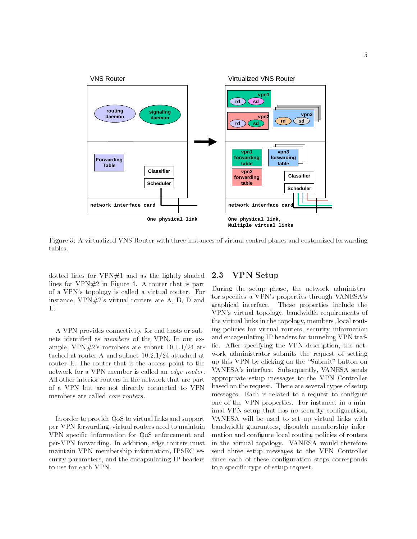

Figure 3: A virtualized VNS Router with three instances of virtual control planes and customized forwarding tables.

dotted lines for VPN#1 and as the lightly shaded lines for VPN#2 in Figure 4. A router that is part of a VPN's topology is called a virtual router. For instance, VPN#2's virtual routers are A, B, D and  $\mathbf{E}$ 

A VPN provides connectivity for end hosts or subnets identied as members of the VPN. In our example, VPN#2's members are subnet 10.1.1/24 attached at router A and subnet 10.2.1/24 attached at router E. The router that is the access point to the network for a VPN member is called an edge router. All other interior routers in the network that are part of a VPN but are not directly connected to VPN members are called core routers.

In order to provide QoS to virtual links and support per-VPN forwarding, virtual routers need to maintain VPN specic information for QoS enforcement and per-VPN forwarding. In addition, edge routers must maintain VPN membership information, IPSEC security parameters, and the encapsulating IP headers to use for each VPN.

#### 2.3VPN Setup

During the setup phase, the network administrator specifies a VPN's properties through VANESA's graphical interface. These properties include the VPN's virtual topology, bandwidth requirements of the virtual links in the topology, members, local routing policies for virtual routers, security information and encapsulating IP headers for tunneling VPN traf fic. After specifying the VPN description, the network administrator submits the request of setting up this VPN by clicking on the "Submit" button on VANESA's interface. Subsequently, VANESA sends appropriate setup messages to the VPN Controller based on the request. There are several types of setup messages. Each is related to a request to configure one of the VPN properties. For instance, in a minimal VPN setup that has no security configuration, VANESA will be used to set up virtual links with bandwidth guarantees, dispatch membership information and configure local routing policies of routers in the virtual topology. VANESA would therefore send three setup messages to the VPN Controller since each of these configuration steps corresponds to a specic type of setup request.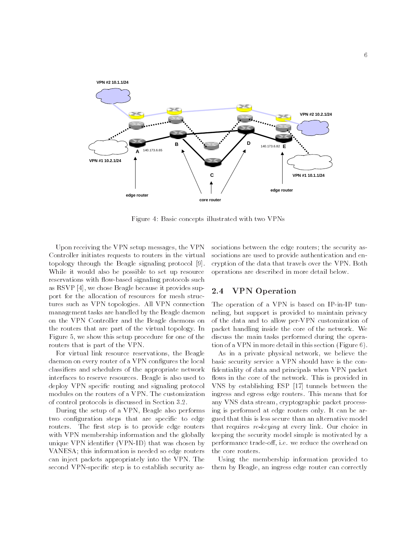

Figure 4: Basic concepts illustrated with two VPNs

Upon receiving the VPN setup messages, the VPN Controller initiates requests to routers in the virtual topology through the Beagle signaling protocol [9]. While it would also be possible to set up resource reservations with flow-based signaling protocols such as RSVP [4], we chose Beagle because it provides support for the allocation of resources for mesh structures such as VPN topologies. All VPN connection management tasks are handled by the Beagle daemon on the VPN Controller and the Beagle daemons on the routers that are part of the virtual topology. In Figure 5, we show this setup procedure for one of the routers that is part of the VPN.

For virtual link resource reservations, the Beagle daemon on every router of a VPN configures the local classiers and schedulers of the appropriate network interfaces to reserve resources. Beagle is also used to deploy VPN specific routing and signaling protocol modules on the routers of a VPN. The customization of control protocols is discussed in Section 3.2.

During the setup of a VPN, Beagle also performs two configuration steps that are specific to edge routers. The first step is to provide edge routers with VPN membership information and the globally unique VPN identier (VPN-ID) that was chosen by VANESA; this information is needed so edge routers can inject packets appropriately into the VPN. The second VPN-specific step is to establish security as-

sociations between the edge routers; the security associations are used to provide authentication and encryption of the data that travels over the VPN. Both operations are described in more detail below.

#### 2.4VPN Operation

The operation of a VPN is based on IP-in-IP tunneling, but support is provided to maintain privacy of the data and to allow per-VPN customization of packet handling inside the core of the network. We discuss the main tasks performed during the operation of a VPN in more detail in this section (Figure 6).

As in a private physical network, we believe the basic security service a VPN should have is the con fidentiality of data and principals when VPN packet flows in the core of the network. This is provided in VNS by establishing ESP [17] tunnels between the ingress and egress edge routers. This means that for any VNS data stream, cryptographic packet processing is performed at edge routers only. It can be argued that this is less secure than an alternative model that requires re-keying at every link. Our choice in keeping the security model simple is motivated by a performance trade-off, i.e. we reduce the overhead on the core routers.

Using the membership information provided to them by Beagle, an ingress edge router can correctly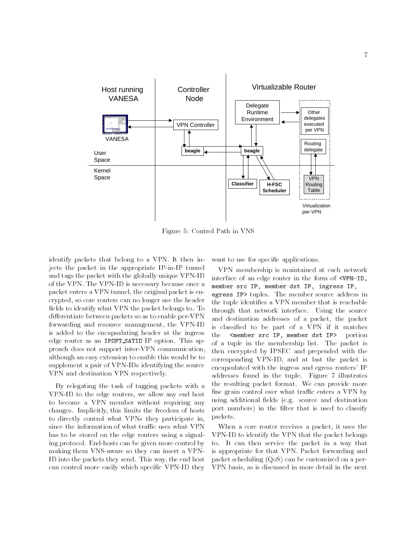

Figure 5: Control Path in VNS

identify packets that belong to a VPN. It then injects the packet in the appropriate IP-in-IP tunnel and tags the packet with the globally unique VPN-ID of the VPN. The VPN-ID is necessary because once a packet enters a VPN tunnel, the original packet is encrypted, so core routers can no longer use the header fields to identify what VPN the packet belongs to. To differentiate between packets so as to enable per-VPN forwarding and resource management, the VPN-ID is added to the encapsulating header at the ingress the edge router as an IPOPT SATID IP option. This approach does not support inter-VPN communication, although an easy extension to enable this would be to supplement a pair of VPN-IDs identifying the source VPN and destination VPN respectively.

By relegating the task of tagging packets with a VPN-ID to the edge routers, we allow any end host to become a VPN member without requiring any changes. Implicitly, this limits the freedom of hosts to directly control what VPNs they participate in, since the information of what traffic uses what VPN has to be stored on the edge routers using a signaling protocol. End-hosts can be given more control by making them VNS-aware so they can insert a VPN-ID into the packets they send. This way, the end host can control more easily which specic VPN-ID they

want to use for specific applications.

VPN membership is maintained at each network interface of an edge router in the form of <VPN-ID, member src IP, member dst IP, ingress IP, egress IP> tuples. The member source address in the tuple identifies a VPN member that is reachable through that network interface. Using the source and destination addresses of a packet, the packet is classied to be part of a VPN if it matches <member src IP, member dst IP> portion of a tuple in the membership list. The packet is then encrypted by IPSEC and prepended with the corresponding VPN-ID, and at last the packet is encapsulated with the ingress and egress routers' IP addresses found in the tuple. Figure 7 illustrates the resulting packet format. We can provide more fine grain control over what traffic enters a VPN by using additional fields (e.g. source and destination port numbers) in the filter that is used to classify packets.

When a core router receives a packet, it uses the VPN-ID to identify the VPN that the packet belongs to. It can then service the packet in a way that is appropriate for that VPN. Packet forwarding and packet scheduling (QoS) can be customized on a per-VPN basis, as is discussed in more detail in the next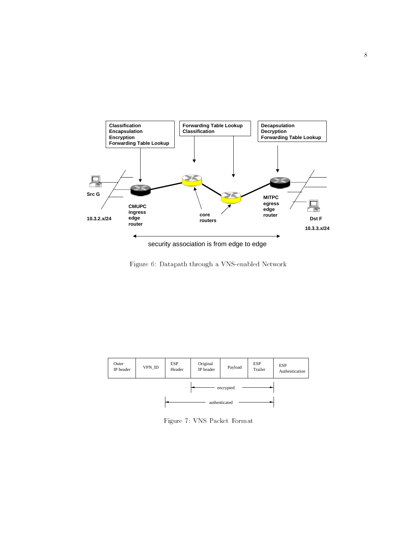

security association is from edge to edge

Figure 6: Datapath through a VNS-enabled Network



Figure 7: VNS Packet Format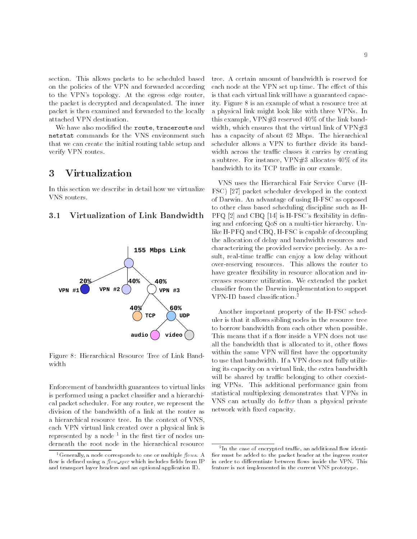section. This allows packets to be scheduled based on the policies of the VPN and forwarded according to the VPN's topology. At the egress edge router, the packet is decrypted and decapsulated. The inner packet is then examined and forwarded to the locally attached VPN destination.

We have also modified the route, traceroute and netstat commands for the VNS environment such that we can create the initial routing table setup and verify VPN routes.

#### 3 3 Virtualization

In this section we describe in detail how we virtualize VNS routers.

#### 3.1Virtualization of Link Bandwidth



Figure 8: Hierarchical Resource Tree of Link Band-

Enforcement of bandwidth guarantees to virtual links is performed using a packet classier and a hierarchical packet scheduler. For any router, we represent the division of the bandwidth of a link at the router as a hierarchical resource tree. In the context of VNS, each VPN virtual link created over a physical link is represented by a node – in the first tier of nodes underneath the root node in the hierarchical resource

tree. A certain amount of bandwidth is reserved for each node at the VPN set up time. The effect of this is that each virtual link will have a guaranteed capacity. Figure 8 is an example of what a resource tree at a physical link might look like with three VPNs. In this example,  $VPN#3$  reserved 40% of the link bandwidth, which ensures that the virtual link of  $VPN#3$ has a capacity of about 62 Mbps. The hierarchical scheduler allows a VPN to further divide its bandwidth across the traffic classes it carries by creating a subtree. For instance, VPN#3 allocates 40% of its bandwidth to its TCP traffic in our examle.

VNS uses the Hierarchical Fair Service Curve (H-FSC) [27] packet scheduler developed in the context of Darwin. An advantage of using H-FSC as opposed to other class based scheduling discipline such as H- $PFG [2]$  and  $CBQ [14]$  is H-FSC's flexibility in defining and enforcing QoS on a multi-tier hierarchy. Unlike H-PFQ and CBQ, H-FSC is capable of decoupling the allocation of delay and bandwidth resources and characterizing the provided service precisely. As a result, real-time traffic can enjoy a low delay without over-reserving resources. This allows the router to have greater flexibility in resource allocation and increases resource utilization. We extended the packet classier from the Darwin implementation to support VPN-ID based classification.<sup>2</sup>

Another important property of the H-FSC scheduler is that it allows sibling nodes in the resource tree to borrow bandwidth from each other when possible. This means that if a flow inside a VPN does not use all the bandwidth that is allocated to it, other flows within the same VPN will first have the opportunity to use that bandwidth. If a VPN does not fully utilizing its capacity on a virtual link, the extra bandwidth will be shared by traffic belonging to other coexisting VPNs. This additional performance gain from statistical multiplexing demonstrates that VPNs in VNS can actually do better than a physical private network with fixed capacity.

<sup>&</sup>lt;sup>1</sup> Generally, a node corresponds to one or multiple  $flows. A$ flow is defined using a  $flow\_spec$  which includes fields from IP and transport layer headers and an optional application ID.

<sup>-</sup>in the case of encrypted trainc, an additional now identifier must be added to the packet header at the ingress router in order to differentiate between flows inside the VPN. This feature is not implemented in the current VNS prototype.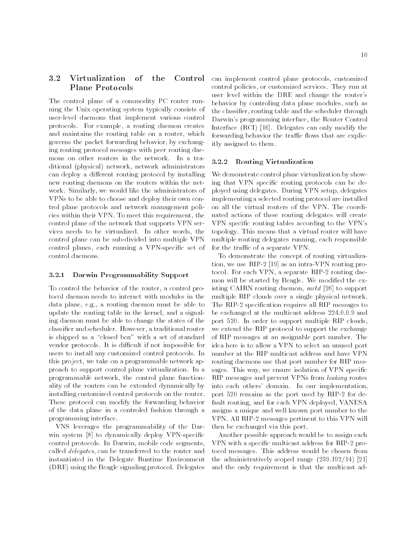## 3.2 Virtualization of the Control Plane Protocols

The control plane of a commodity PC router running the Unix operating system typically consists of user-level daemons that implement various control protocols. For example, a routing daemon creates and maintains the routing table on a router, which governs the packet forwarding behavior, by exchanging routing protocol messages with peer routing daemons on other routers in the network. In a traditional (physical) network, network administrators can deploy a different routing protocol by installing new routing daemons on the routers within the net work. Similarly, we would like the administrators of VPNs to be able to choose and deploy their own control plane protocols and network management policies within their VPN. To meet this requirement, the control plane of the network that supports VPN services needs to be virtualized. In other words, the control plane can be sub-divided into multiple VPN control planes, each running a VPN-specific set of control daemons.

#### 3.2.1 Darwin Programmability Support 3.2.1

To control the behavior of the router, a control protocol daemon needs to interact with modules in the data plane, e.g., a routing daemon must be able to update the routing table in the kernel, and a signaling daemon must be able to change the states of the classier and scheduler. However, a traditional router is shipped as a "closed box" with a set of standard vendor protocols. It is difficult if not impossible for users to install any customized control protocols. In this project, we take on a programmable network approach to support control plane virtualization. In a programmable network, the control plane functionality of the routers can be extended dynamically by installing customized control protocols on the router. These protocol can modify the forwarding behavior of the data plane in a controled fashion through a programming interface.

VNS leverages the programmability of the Darwin system [8] to dynamically deploy VPN-specific control protocols. In Darwin, mobile code segments, called delegates, can be transferred to the router and instantiated in the Delegate Runtime Environment (DRE) using the Beagle signaling protocol. Delegates

can implement control plane protocols, customized control policies, or customized services. They run at user level within the DRE and change the router's behavior by controling data plane modules, such as the classier, routing table and the scheduler through Darwin's programming interface, the Router Control Interface (RCI) [16]. Delegates can only modify the forwarding behavior the traffic flows that are explicitly assigned to them.

## 3.2.2 Routing Virtualization

We demonstrate control plane virtualization by showing that VPN specific routing protocols can be deployed using delegates. During VPN setup, delegates implementing a selected routing protocol are installed on all the virtual routers of the VPN. The coordinated actions of these routing delegates will create VPN specic routing tables according to the VPN's topology. This means that a virtual router will have multiple routing delegates running, each responsible for the traffic of a separate VPN.

To demonstrate the concept of routing virtualization, we use RIP-2 [19] as an intra-VPN routing protocol. For each VPN, a separate RIP-2 routing daemon will be started by Beagle. We modified the existing CAIRN routing daemon, mrtd [26] to support multiple RIP clouds over a single physical network. The RIP-2 specication requires all RIP messages to be exchanged at the multicast address 224.0.0.9 and port 520. In order to support multiple RIP clouds, we extend the RIP protocol to support the exchange of RIP messages at an assignable port number. The idea here is to allow a VPN to select an unused port number at the RIP multicast address and have VPN routing daemons use that port number for RIP messages. This way, we ensure isolation of VPN specific RIP messages and prevent VPNs from leaking routes into each others' domain. In our implementation, port 520 remains as the port used by RIP-2 for default routing, and for each VPN deployed, VANESA assigns a unique and well known port number to the VPN. All RIP-2 messages pertinent to this VPN will then be exchanged via this port.

Another possible approach would be to assign each VPN with a specic multicast address for RIP-2 protocol messages. This address would be chosen from the administratively scoped range (239.192/14) [21] and the only requirement is that the multicast ad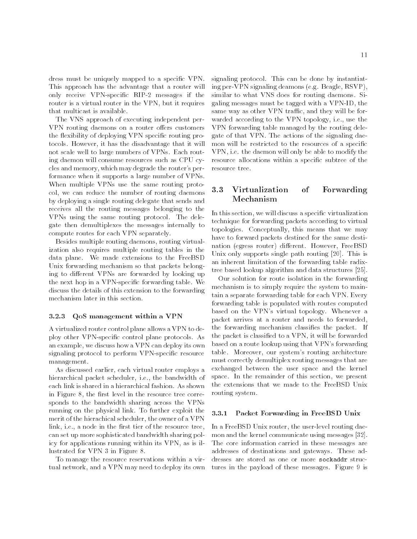dress must be uniquely mapped to a specic VPN. This approach has the advantage that a router will only receive VPN-specic RIP-2 messages if the router is a virtual router in the VPN, but it requires that multicast is available.

The VNS approach of executing independent per-VPN routing daemons on a router offers customers the flexibility of deploying VPN specific routing protocols. However, it has the disadvantage that it will not scale well to large numbers of VPNs. Each routing daemon will consume resources such as CPU cycles and memory, which may degrade the router's performance when it supports a large number of VPNs. When multiple VPNs use the same routing protocol, we can reduce the number of routing daemons by deploying a single routing delegate that sends and receives all the routing messages belonging to the VPNs using the same routing protocol. The delegate then demultiplexes the messages internally to compute routes for each VPN separately.

Besides multiple routing daemons, routing virtualization also requires multiple routing tables in the data plane. We made extensions to the FreeBSD Unix forwarding mechanism so that packets belonging to different VPNs are forwarded by looking up the next hop in a VPN-specic forwarding table. We discuss the details of this extension to the forwarding mechanism later in this section.

## 3.2.3 QoS management within a VPN

A virtualized router control plane allows a VPN to deploy other VPN-specic control plane protocols. As an example, we discuss how a VPN can deploy its own signaling protocol to perform VPN-specific resource management.

As discussed earlier, each virtual router employs a hierarchical packet scheduler, i.e., the bandwidth of each link is shared in a hierarchical fashion. As shown in Figure 8, the first level in the resource tree corresponds to the bandwidth sharing across the VPNs running on the physical link. To further exploit the  $3.3.1$ merit of the hierachical scheduler, the owner of a VPN link, i.e., a node in the first tier of the resource tree, can set up more sophisticated bandwidth sharing policy for applications running within its VPN, as is illustrated for VPN 3 in Figure 8.

To manage the resource reservations within a virtual network, and a VPN may need to deploy its own

signaling protocol. This can be done by instantiating per-VPN signaling deamons (e.g. Beagle, RSVP), similar to what VNS does for routing daemons. Sigaling messages must be tagged with a VPN-ID, the same way as other VPN traffic, and they will be forwarded according to the VPN topology, i.e., use the VPN forwarding table managed by the routing delegate of that VPN. The actions of the signaling daemon will be restricted to the resources of a specific VPN, i.e. the daemon will only be able to modify the resource allocations within a specic subtree of the resource tree.

### 3.3 Virtualization of Forwarding Mechanism

In this section, we will discuss a specific virtualization technique for forwarding packets according to virtual topologies. Conceptually, this means that we may have to forward packets destined for the same destination (egress router) different. However, FreeBSD Unix only supports single path routing [20]. This is an inherent limitation of the forwarding table radixtree based lookup algorithm and data structures [25].

Our solution for route isolation in the forwarding mechanism is to simply require the system to maintain a separate forwarding table for each VPN. Every forwarding table is populated with routes computed based on the VPN's virtual topology. Whenever a packet arrives at a router and needs to forwarded, the forwarding mechanism classifies the packet. If the packet is classied to a VPN, it will be forwarded based on a route lookup using that VPN's forwarding table. Moreover, our system's routing architecture must correctly demultiplex routing messages that are exchanged between the user space and the kernel space. In the remainder of this section, we present the extensions that we made to the FreeBSD Unix routing system.

## Packet Forwarding in FreeBSD Unix

In a FreeBSD Unix router, the user-level routing daemon and the kernel communicate using messages [32]. The core information carried in these messages are addresses of destinations and gateways. These addresses are stored as one or more sockaddr structures in the payload of these messages. Figure 9 is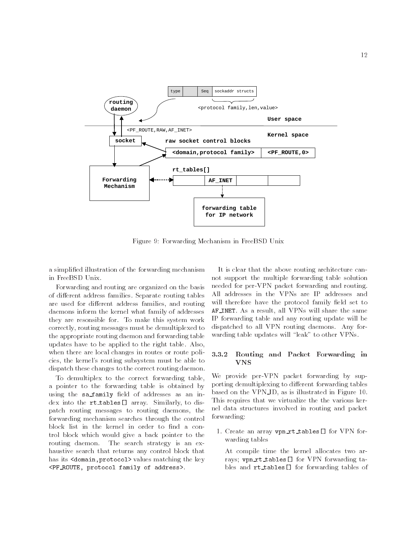

Figure 9: Forwarding Mechanism in FreeBSD Unix

a simplied illustration of the forwarding mechanism in FreeBSD Unix.

Forwarding and routing are organized on the basis of different address families. Separate routing tables are used for different address families, and routing daemons inform the kernel what family of addresses they are resonsible for. To make this system work correctly, routing messages must be demultiplexed to the appropriate routing daemon and forwarding table updates have to be applied to the right table. Also, when there are local changes in routes or route policies, the kernel's routing subsystem must be able to dispatch these changes to the correct routing daemon.

To demultiplex to the correct forwarding table, a pointer to the forwarding table is obtained by using the sa family field of addresses as an index into the rt tables[] array. Similarly, to dispatch routing messages to routing daemons, the forwarding mechanism searches through the control block list in the kernel in order to find a control block which would give a back pointer to the routing daemon. The search strategy is an exhaustive search that returns any control block that has its <domain, protocol> values matching the key <PF ROUTE, protocol family of address>.

It is clear that the above routing architecture cannot support the multiple forwarding table solution needed for per-VPN packet forwarding and routing. All addresses in the VPNs are IP addresses and will therefore have the protocol family field set to AF INET. As a result, all VPNs will share the same IP forwarding table and any routing update will be dispatched to all VPN routing daemons. Any for warding table updates will "leak" to other VPNs.

# 3.3.2 Routing and Packet Forwarding in

We provide per-VPN packet forwarding by supporting demultiplexing to different forwarding tables based on the VPN ID, as is illustrated in Figure 10. This requires that we virtualize the the various kernel data structures involved in routing and packet forwarding:

1. Create an array vpn rt tables[] for VPN for warding tables

At compile time the kernel allocates two arrays; vpn\_rt\_tables[] for VPN forwarding tables and rt\_tables[] for forwarding tables of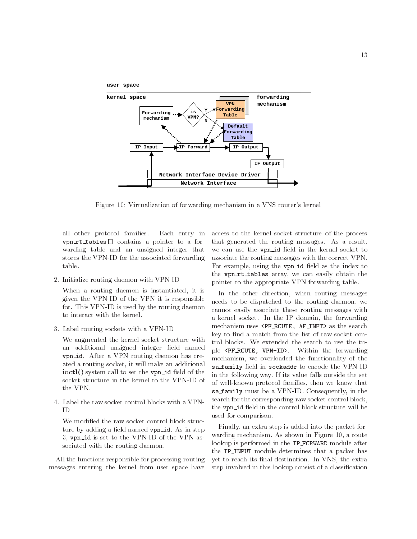

Figure 10: Virtualization of forwarding mechanism in a VNS router's kernel

all other protocol families. Each entry in vpn\_rt\_tables[] contains a pointer to a forwarding table and an unsigned integer that stores the VPN-ID for the associated forwarding table.

2. Initialize routing daemon with VPN-ID

When a routing daemon is instantiated, it is given the VPN-ID of the VPN it is responsible for. This VPN-ID is used by the routing daemon to interact with the kernel.

3. Label routing sockets with a VPN-ID

We augmented the kernel socket structure with an additional unsigned integer field named vpn id. After a VPN routing daemon has created a routing socket, it will make an additional  $ioctl()$  system call to set the vpn\_id field of the socket structure in the kernel to the VPN-ID of the VPN.

4. Label the raw socket control blocks with a VPN-ID

We modified the raw socket control block structure by adding a field named vpn\_id. As in step 3, vpn id is set to the VPN-ID of the VPN associated with the routing daemon.

All the functions responsible for processing routing messages entering the kernel from user space have

access to the kernel socket structure of the process that generated the routing messages. As a result, we can use the **vpn\_id** field in the kernel socket to associate the routing messages with the correct VPN. For example, using the **vpn\_id** field as the index to the vpn\_rt\_tables array, we can easily obtain the pointer to the appropriate VPN forwarding table.

In the other direction, when routing messages needs to be dispatched to the routing daemon, we cannot easily associate these routing messages with a kernel socket. In the IP domain, the forwarding mechanism uses <PF ROUTE, AF INET> as the search key to find a match from the list of raw socket control blocks. We extended the search to use the tuple <PF ROUTE, VPN-ID>. Within the forwarding mechanism, we overloaded the functionality of the sa\_family field in sockaddr to encode the VPN-ID in the following way. If its value falls outside the set of well-known protocol families, then we know that sa family must be a VPN-ID. Consequently, in the search for the corresponding raw socket control block, the vpn\_id field in the control block structure will be used for comparison.

Finally, an extra step is added into the packet for warding mechanism. As shown in Figure 10, a route lookup is performed in the IP\_FORWARD module after the IP\_INPUT module determines that a packet has yet to reach its final destination. In VNS, the extra step involved in this lookup consist of a classification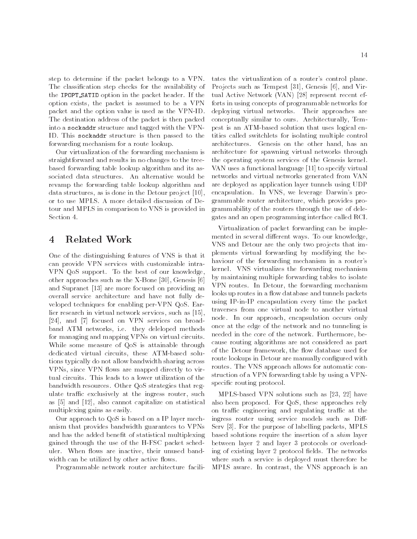step to determine if the packet belongs to a VPN. The classication step checks for the availability of the IPOPT SATID option in the packet header. If the option exists, the packet is assumed to be a VPN packet and the option value is used as the VPN-ID. The destination address of the packet is then packed into a sockaddr structure and tagged with the VPN-ID. This sockaddr structure is then passed to the forwarding mechanism for a route lookup.

Our virtualization of the forwarding mechanism is straightforward and results in no changes to the treebased forwarding table lookup algorithm and its associated data structures. An alternative would be revamp the forwarding table lookup algorithm and data structures, as is done in the Detour project [10], or to use MPLS. A more detailed discussion of Detour and MPLS in comparison to VNS is provided in Section 4.

# 4 Related Work

One of the distinguishing features of VNS is that it can provide VPN services with customizable intra-VPN QoS support. To the best of our knowledge, other approaches such as the X-Bone [30], Genesis [6] and Supranet [13] are more focused on providing an overall service architecture and have not fully developed techniques for enabling per-VPN QoS. Earlier research in virtual network services, such as [15], [24], and [7] focused on VPN services on broadband ATM networks, i.e. they deleloped methods for managing and mapping VPNs on virtual circuits. While some measure of QoS is attainable through dedicated virtual circuits, these ATM-based solutions typically do not allow bandwidth sharing across VPNs, since VPN flows are mapped directly to virtual circuits. This leads to a lower utilization of the bandwidth resources. Other QoS strategies that regulate traffic exclusively at the ingress router, such as [5] and [12], also cannot capitalize on statistical multiplexing gains as easily.

Our approach to QoS is based on a IP layer mechanism that provides bandwidth guarantees to VPNs and has the added benefit of statistical multiplexing gained through the use of the H-FSC packet scheduler. When flows are inactive, their unused bandwidth can be utilized by other active flows.

Programmable network router architecture facili-

tates the virtualization of a router's control plane. Projects such as Tempest [31], Genesis [6], and Virtual Active Network (VAN) [28] represent recent efforts in using concepts of programmable networks for deploying virtual networks. Their approaches are conceptually similar to ours. Architecturally, Tempest is an ATM-based solution that uses logical entities called switchlets for isolating multiple control architectures. Genesis on the other hand, has an architecture for spawning virtual networks through the operating system services of the Genesis kernel. VAN uses a functional language [11] to specify virtual networks and virtual networks generated from VAN are deployed as application layer tunnels using UDP encapsulation. In VNS, we leverage Darwin's programmable router architecture, which provides programmability of the routers through the use of delegates and an open programming interface called RCI.

Virtualization of packet forwarding can be imple mented in several different ways. To our knowledge, VNS and Detour are the only two projects that implements virtual forwarding by modifying the behaviour of the forwarding mechanism in a router's kernel. VNS virtualizes the forwarding mechanism by maintaining multiple forwarding tables to isolate VPN routes. In Detour, the forwarding mechanism looks up routes in a flow database and tunnels packets using IP-in-IP encapsulation every time the packet traverses from one virtual node to another virtual node. In our approach, encapsulation occurs only once at the edge of the network and no tunneling is needed in the core of the network. Furthermore, because routing algorithms are not considered as part of the Detour framework, the flow database used for route lookups in Detour are manually configured with routes. The VNS approach allows for automatic construction of a VPN forwarding table by using a VPNspecific routing protocol.

MPLS-based VPN solutions such as [23, 22] have also been proposed. For QoS, these approaches rely on traffic engineering and regulating traffic at the ingress router using service models such as Diff-Serv [3]. For the purpose of labelling packets, MPLS based solutions require the insertion of a shim layer between layer 2 and layer 3 protocols or overloading of existing layer 2 protocol fields. The networks where such a service is deployed must therefore be MPLS aware. In contrast, the VNS approach is an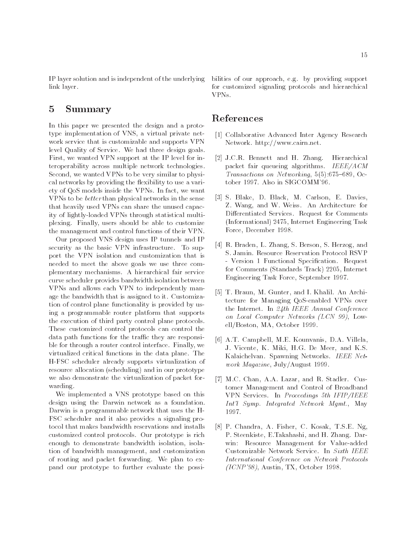IP layer solution and is independent of the underlying link layer.

#### $\overline{5}$ 5 Summary

In this paper we presented the design and a prototype implementation of VNS, a virtual private net work service that is customizable and supports VPN level Quality of Service. We had three design goals. First, we wanted VPN support at the IP level for interoperability across multiple network technologies. Second, we wanted VPNs to be very similar to physical networks by providing the flexibility to use a variety of QoS models inside the VPNs. In fact, we want VPNs to be better than physical networks in the sense that heavily used VPNs can share the unused capacity of lightly-loaded VPNs through statistical multiplexing. Finally, users should be able to customize the management and control functions of their VPN.

Our proposed VNS design uses IP tunnels and IP security as the basic VPN infrastructure. To support the VPN isolation and customization that is needed to meet the above goals we use three complementary mechanisms. A hierarchical fair service curve scheduler provides bandwidth isolation between VPNs and allows each VPN to independently manage the bandwidth that is assigned to it. Customization of control plane functionality is provided by using a programmable router platform that supports the execution of third party control plane protocols. These customized control protocols can control the data path functions for the traffic they are responsible for through a router control interface. Finally, we virtualized critical functions in the data plane. The H-FSC scheduler already supports virtualization of resource allocation (scheduling) and in our prototype we also demonstrate the virtualization of packet for warding.

We implemented a VNS prototype based on this design using the Darwin network as a foundation. Darwin is a programmable network that uses the H-FSC scheduler and it also provides a signaling protocol that makes bandwidth reservations and installs customized control protocols. Our prototype is rich enough to demonstrate bandwidth isolation, isolation of bandwidth management, and customization of routing and packet forwarding. We plan to expand our prototype to further evaluate the possibilities of our approach, e.g. by providing support for customized signaling protocols and hierarchical VPN<sub>s</sub>.

## References

- [1] Collaborative Advanced Inter Agency Research Network. http://www.cairn.net.
- [2] J.C.R. Bennett and H. Zhang. Hierarchical packet fair queueing algorithms. IEEE/ACM Transactions on Networking,  $5(5)$ :675-689, October 1997. Also in SIGCOMM'96.
- [3] S. Blake, D. Black, M. Carlson, E. Davies, Z. Wang, and W. Weiss. An Architecture for Differentiated Services. Request for Comments (Informational) 2475, Internet Engineering Task Force, December 1998.
- [4] R. Braden, L. Zhang, S. Berson, S. Herzog, and S. Jamin. Resource Reservation Protocol RSVP - Version 1 Functional Specification. Request for Comments (Standards Track) 2205, Internet Engineering Task Force, September 1997.
- [5] T. Braun, M. Gunter, and I. Khalil. An Architecture for Managing QoS-enabled VPNs over the Internet. In 24th IEEE Annual Conference on Local Computer Networks (LCN 99), Lowell/Boston, MA, October 1999.
- [6] A.T. Campbell, M.E. Kounvanis, D.A. Villela, J. Vicente, K. Miki, H.G. De Meer, and K.S. Kalaichelvan. Spawning Networks. IEEE Network Magazine, July/August 1999.
- [7] M.C. Chan, A.A. Lazar, and R. Stadler. Customer Management and Control of Broadband VPN Services. In Proceedings 5th IFIP/IEEE Int'l Symp. Integrated Network Mgmt., May 1997.
- [8] P. Chandra, A. Fisher, C. Kosak, T.S.E. Ng, P. Steenkiste, E.Takahashi, and H. Zhang. Darwin: Resource Management for Value-added Customizable Network Service. In Sixth IEEE International Conference on Network Protocols (ICNP'98), Austin, TX, October 1998.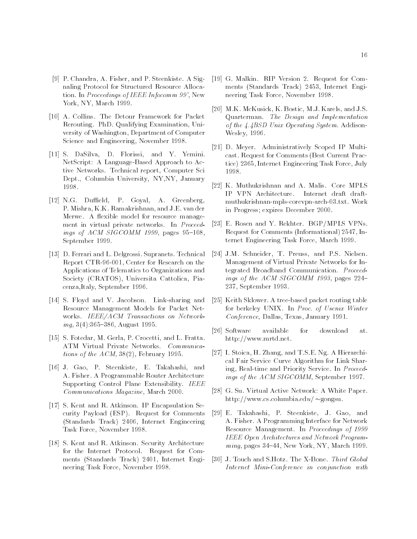- [9] P. Chandra, A. Fisher, and P. Steenkiste. A Signaling Protocol for Structured Resource Allocation. In Proceedings of IEEE Infocomm 99', New York, NY, March 1999.
- [10] A. Collins. The Detour Framework for Packet Rerouting. PhD. Qualifying Examination, University of Washington, Department of Computer Science and Engineering, November 1998.
- [11] S. DaSilva, D. Florissi, and Y. Yemini. NetScript: A Language-Based Approach to Active Networks. Technical report, Computer Sci Dept., Columbia University, NY,NY, January 1998.
- [12] N.G. Duffield, P. Goyal, A. Greenberg, P. Mishra, K.K. Ramakrishnan, and J.E. van der Merwe. A flexible model for resource management in virtual private networks. In Proceedings of  $ACM$  SIGCOMM 1999, pages 95-108, September 1999.
- [13] D. Ferrari and L. Delgrossi. Supranets. Technical Report CTR-96-001, Center for Research on the Applications of Telematics to Organizations and Society (CRATOS), Universita Cattolica, Piacenza,Italy, September 1996.
- [14] S. Floyd and V. Jacobson. Link-sharing and Resource Management Models for Packet Net works. IEEE/ACM Transactions on Networking,  $3(4)$ :365-386, August 1995.
- [15] S. Fotedar, M. Gerla, P. Crocetti, and L. Fratta. ATM Virtual Private Networks. Communications of the ACM, 38(2), February 1995.
- [16] J. Gao, P. Steenkiste, E. Takahashi, and A. Fisher. A Programmable Router Architecture Supporting Control Plane Extensibility. IEEE Communications Magazine, March 2000.
- [17] S. Kent and R. Atkinson. IP Encapsulation Security Payload (ESP). Request for Comments (Standards Track) 2406, Internet Engineering Task Force, November 1998.
- [18] S. Kent and R. Atkinson. Security Architecture for the Internet Protocol. Request for Com ments (Standards Track) 2401, Internet Engineering Task Force, November 1998.
- [19] G. Malkin. RIP Version 2. Request for Com ments (Standards Track) 2453, Internet Engineering Task Force, November 1998.
- [20] M.K. McKusick, K. Bostic, M.J. Karels, and J.S. Quarterman. The Design and Implementation of the 4.4BSD Unix Operating System. Addison-Wesley, 1996.
- [21] D. Meyer. Administratively Scoped IP Multicast. Request for Comments (Best Current Practice) 2365, Internet Engineering Task Force, July 1998.
- [22] K. Muthukrishnan and A. Malis. Core MPLS IP VPN Architecture. Internet draft draft muthukrishnan-mpls-corevpn-arch-03.txt. Work in Progress; expires December 2000.
- [23] E. Rosen and Y. Rekhter. BGP/MPLS VPNs. Request for Comments (Informational) 2547, Internet Engineering Task Force, March 1999.
- [24] J.M. Schneider, T. Preuss, and P.S. Nielsen. Management of Virtual Private Networks for Integrated Broadband Communication. Proceedings of the ACM SIGCOMM 1993, pages  $224-$ 237, September 1993.
- [25] Keith Sklower. A tree-based packet routing table for berkeley UNIX. In Proc. of Usenix Winter Conference, Dallas, Texas, January 1991.
- [26] Software available for download at. http://www.mrtd.net.
- [27] I. Stoica, H. Zhang, and T.S.E. Ng. A Hierarchical Fair Service Curve Algorithm for Link Sharing, Real-time and Priority Service. In Proceedings of the ACM SIGCOMM, September 1997.
- [28] G. Su. Virtual Active Network: A White Paper. http://www.cs.columbia.edu/ $\sim$ gongsu.
- [29] E. Takahashi, P. Steenkiste, J. Gao, and A. Fisher. A Programming Interface for Network Resource Management. In Proceedings of 1999 IEEE Open Architectures and Network Program  $ming, pages 34–44, New York, NY, March 1999.$
- [30] J. Touch and S.Hotz. The X-Bone. Third Global Internet Mini-Conference in conjunction with